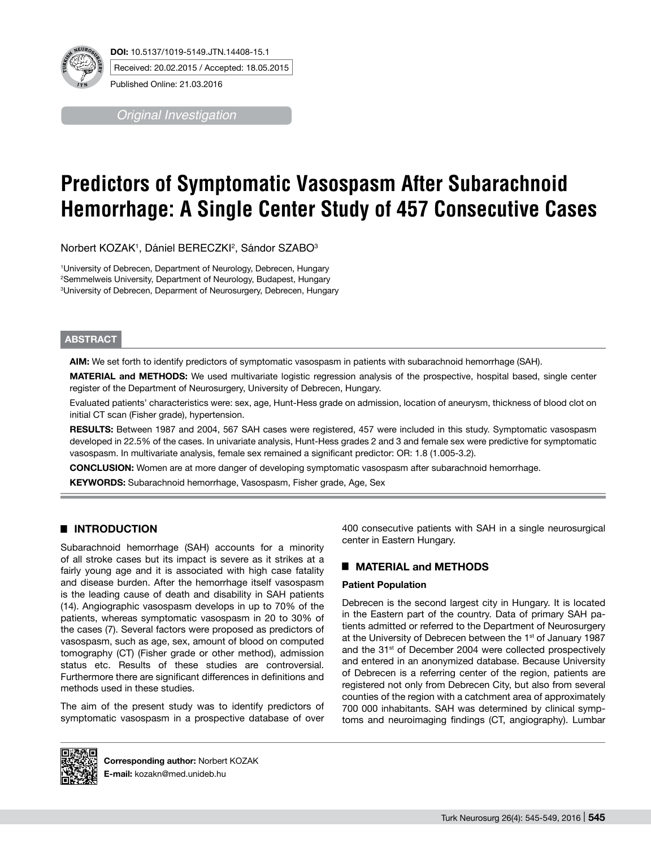

*Original Investigation*

# **Predictors of Symptomatic Vasospasm After Subarachnoid Hemorrhage: A Single Center Study of 457 Consecutive Cases**

Norbert KOZAK<sup>1</sup>, Dániel BERECZKl<sup>2</sup>, Sándor SZABO<sup>3</sup>

1 University of Debrecen, Department of Neurology, Debrecen, Hungary 2 Semmelweis University, Department of Neurology, Budapest, Hungary 3 University of Debrecen, Deparment of Neurosurgery, Debrecen, Hungary

## **ABSTRACT**

**AIm:** We set forth to identify predictors of symptomatic vasospasm in patients with subarachnoid hemorrhage (SAH).

**MaterIal and Methods:** We used multivariate logistic regression analysis of the prospective, hospital based, single center register of the Department of Neurosurgery, University of Debrecen, Hungary.

Evaluated patients' characteristics were: sex, age, Hunt-Hess grade on admission, location of aneurysm, thickness of blood clot on initial CT scan (Fisher grade), hypertension.

**Results:** Between 1987 and 2004, 567 SAH cases were registered, 457 were included in this study. Symptomatic vasospasm developed in 22.5% of the cases. In univariate analysis, Hunt-Hess grades 2 and 3 and female sex were predictive for symptomatic vasospasm. In multivariate analysis, female sex remained a significant predictor: OR: 1.8 (1.005-3.2).

**ConclusIon:** Women are at more danger of developing symptomatic vasospasm after subarachnoid hemorrhage.

**Keywords:** Subarachnoid hemorrhage, Vasospasm, Fisher grade, Age, Sex

# █ **Introduction**

Subarachnoid hemorrhage (SAH) accounts for a minority of all stroke cases but its impact is severe as it strikes at a fairly young age and it is associated with high case fatality and disease burden. After the hemorrhage itself vasospasm is the leading cause of death and disability in SAH patients (14). Angiographic vasospasm develops in up to 70% of the patients, whereas symptomatic vasospasm in 20 to 30% of the cases (7). Several factors were proposed as predictors of vasospasm, such as age, sex, amount of blood on computed tomography (CT) (Fisher grade or other method), admission status etc. Results of these studies are controversial. Furthermore there are significant differences in definitions and methods used in these studies.

The aim of the present study was to identify predictors of symptomatic vasospasm in a prospective database of over 400 consecutive patients with SAH in a single neurosurgical center in Eastern Hungary.

## █ **MATERIAL and methods**

#### **Patient Population**

Debrecen is the second largest city in Hungary. It is located in the Eastern part of the country. Data of primary SAH patients admitted or referred to the Department of Neurosurgery at the University of Debrecen between the 1<sup>st</sup> of January 1987 and the 31<sup>st</sup> of December 2004 were collected prospectively and entered in an anonymized database. Because University of Debrecen is a referring center of the region, patients are registered not only from Debrecen City, but also from several counties of the region with a catchment area of approximately 700 000 inhabitants. SAH was determined by clinical symptoms and neuroimaging findings (CT, angiography). Lumbar



**Corresponding author:** Norbert KOZAK **E-mail:** kozakn@med.unideb.hu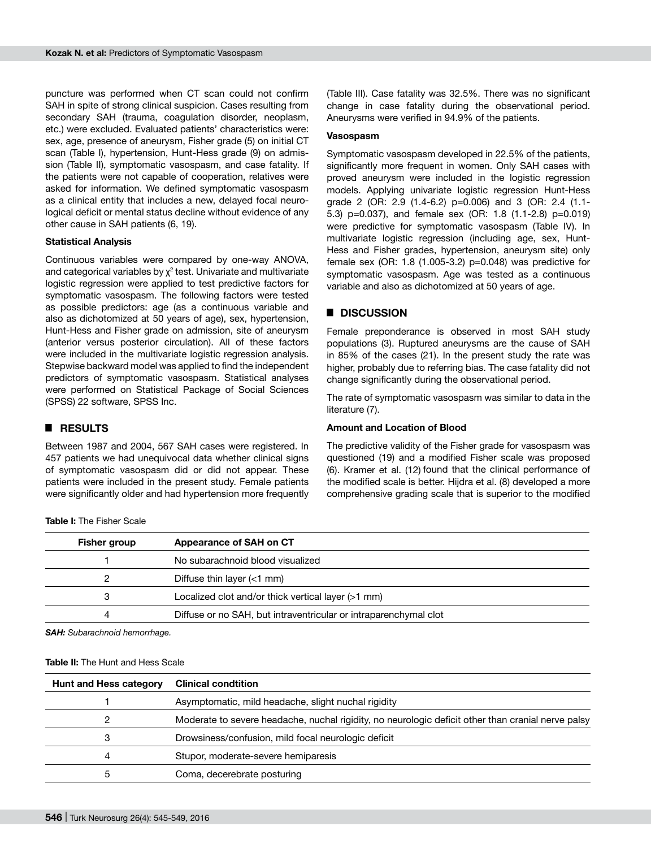puncture was performed when CT scan could not confirm SAH in spite of strong clinical suspicion. Cases resulting from secondary SAH (trauma, coagulation disorder, neoplasm, etc.) were excluded. Evaluated patients' characteristics were: sex, age, presence of aneurysm, Fisher grade (5) on initial CT scan (Table I), hypertension, Hunt-Hess grade (9) on admission (Table II), symptomatic vasospasm, and case fatality. If the patients were not capable of cooperation, relatives were asked for information. We defined symptomatic vasospasm as a clinical entity that includes a new, delayed focal neurological deficit or mental status decline without evidence of any other cause in SAH patients (6, 19).

#### **Statistical Analysis**

Continuous variables were compared by one-way ANOVA, and categorical variables by  $\chi^2$  test. Univariate and multivariate logistic regression were applied to test predictive factors for symptomatic vasospasm. The following factors were tested as possible predictors: age (as a continuous variable and also as dichotomized at 50 years of age), sex, hypertension, Hunt-Hess and Fisher grade on admission, site of aneurysm (anterior versus posterior circulation). All of these factors were included in the multivariate logistic regression analysis. Stepwise backward model was applied to find the independent predictors of symptomatic vasospasm. Statistical analyses were performed on Statistical Package of Social Sciences (SPSS) 22 software, SPSS Inc.

## █ **Results**

Between 1987 and 2004, 567 SAH cases were registered. In 457 patients we had unequivocal data whether clinical signs of symptomatic vasospasm did or did not appear. These patients were included in the present study. Female patients were significantly older and had hypertension more frequently

**Table I:** The Fisher Scale

(Table III). Case fatality was 32.5%. There was no significant change in case fatality during the observational period. Aneurysms were verified in 94.9% of the patients.

#### **Vasospasm**

Symptomatic vasospasm developed in 22.5% of the patients, significantly more frequent in women. Only SAH cases with proved aneurysm were included in the logistic regression models. Applying univariate logistic regression Hunt-Hess grade 2 (OR: 2.9 (1.4-6.2) p=0.006) and 3 (OR: 2.4 (1.1- 5.3) p=0.037), and female sex (OR: 1.8 (1.1-2.8) p=0.019) were predictive for symptomatic vasospasm (Table IV). In multivariate logistic regression (including age, sex, Hunt-Hess and Fisher grades, hypertension, aneurysm site) only female sex (OR: 1.8 (1.005-3.2) p=0.048) was predictive for symptomatic vasospasm. Age was tested as a continuous variable and also as dichotomized at 50 years of age.

#### █ **Discussion**

Female preponderance is observed in most SAH study populations (3). Ruptured aneurysms are the cause of SAH in 85% of the cases (21). In the present study the rate was higher, probably due to referring bias. The case fatality did not change significantly during the observational period.

The rate of symptomatic vasospasm was similar to data in the literature (7).

## **Amount and Location of Blood**

The predictive validity of the Fisher grade for vasospasm was questioned (19) and a modified Fisher scale was proposed (6). Kramer et al. (12) found that the clinical performance of the modified scale is better. Hijdra et al. (8) developed a more comprehensive grading scale that is superior to the modified

| Fisher group | Appearance of SAH on CT                                          |
|--------------|------------------------------------------------------------------|
|              | No subarachnoid blood visualized                                 |
| 2            | Diffuse thin layer $(< 1$ mm)                                    |
| 3            | Localized clot and/or thick vertical layer (>1 mm)               |
| 4            | Diffuse or no SAH, but intraventricular or intraparenchymal clot |
|              |                                                                  |

*SAH: Subarachnoid hemorrhage.*

#### **Table II:** The Hunt and Hess Scale

| <b>Hunt and Hess category</b> | <b>Clinical condtition</b>                                                                         |  |  |
|-------------------------------|----------------------------------------------------------------------------------------------------|--|--|
|                               | Asymptomatic, mild headache, slight nuchal rigidity                                                |  |  |
| 2                             | Moderate to severe headache, nuchal rigidity, no neurologic deficit other than cranial nerve palsy |  |  |
| 3                             | Drowsiness/confusion, mild focal neurologic deficit                                                |  |  |
| 4                             | Stupor, moderate-severe hemiparesis                                                                |  |  |
| 5                             | Coma, decerebrate posturing                                                                        |  |  |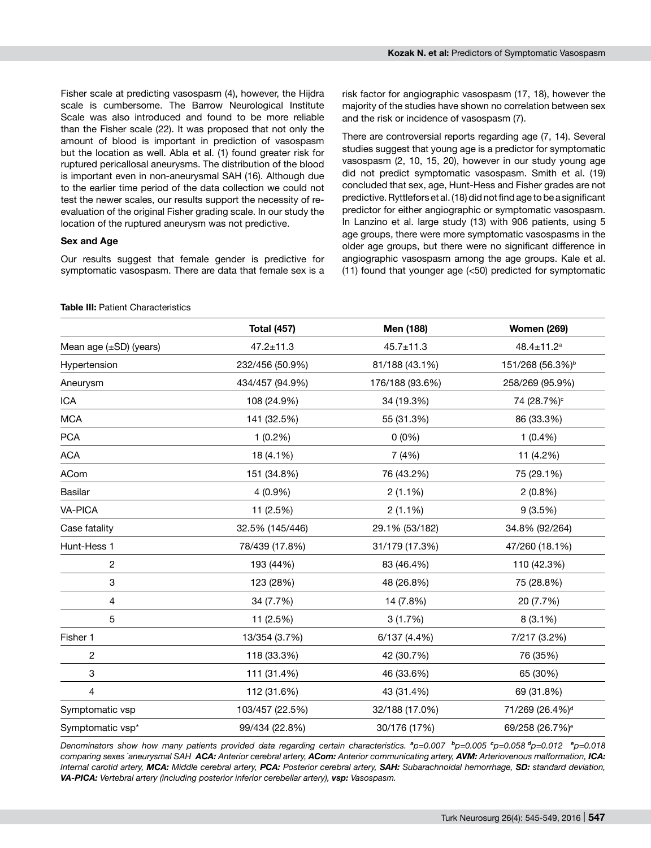Fisher scale at predicting vasospasm (4), however, the Hijdra scale is cumbersome. The Barrow Neurological Institute Scale was also introduced and found to be more reliable than the Fisher scale (22). It was proposed that not only the amount of blood is important in prediction of vasospasm but the location as well. Abla et al. (1) found greater risk for ruptured pericallosal aneurysms. The distribution of the blood is important even in non-aneurysmal SAH (16). Although due to the earlier time period of the data collection we could not test the newer scales, our results support the necessity of reevaluation of the original Fisher grading scale. In our study the location of the ruptured aneurysm was not predictive.

#### **Sex and Age**

Our results suggest that female gender is predictive for symptomatic vasospasm. There are data that female sex is a risk factor for angiographic vasospasm (17, 18), however the majority of the studies have shown no correlation between sex and the risk or incidence of vasospasm (7).

There are controversial reports regarding age (7, 14). Several studies suggest that young age is a predictor for symptomatic vasospasm (2, 10, 15, 20), however in our study young age did not predict symptomatic vasospasm. Smith et al. (19) concluded that sex, age, Hunt-Hess and Fisher grades are not predictive. Ryttlefors et al. (18) did not find age to be a significant predictor for either angiographic or symptomatic vasospasm. In Lanzino et al. large study (13) with 906 patients, using 5 age groups, there were more symptomatic vasospasms in the older age groups, but there were no significant difference in angiographic vasospasm among the age groups. Kale et al. (11) found that younger age (<50) predicted for symptomatic

#### **Table III: Patient Characteristics**

|                             | <b>Total (457)</b> | Men (188)       | <b>Women (269)</b>           |  |
|-----------------------------|--------------------|-----------------|------------------------------|--|
| Mean age $(\pm SD)$ (years) | $47.2 \pm 11.3$    | $45.7 \pm 11.3$ | 48.4±11.2 <sup>a</sup>       |  |
| Hypertension                | 232/456 (50.9%)    | 81/188 (43.1%)  | 151/268 (56.3%) <sup>b</sup> |  |
| Aneurysm                    | 434/457 (94.9%)    | 176/188 (93.6%) | 258/269 (95.9%)              |  |
| <b>ICA</b>                  | 108 (24.9%)        | 34 (19.3%)      | 74 (28.7%) <sup>c</sup>      |  |
| <b>MCA</b>                  | 141 (32.5%)        | 55 (31.3%)      | 86 (33.3%)                   |  |
| <b>PCA</b>                  | $1(0.2\%)$         | $0(0\%)$        | $1(0.4\%)$                   |  |
| <b>ACA</b>                  | 18 (4.1%)          | 7(4%)           | 11 (4.2%)                    |  |
| <b>ACom</b>                 | 151 (34.8%)        | 76 (43.2%)      | 75 (29.1%)                   |  |
| Basilar                     | 4 (0.9%)           | $2(1.1\%)$      | $2(0.8\%)$                   |  |
| <b>VA-PICA</b>              | 11 (2.5%)          | $2(1.1\%)$      | 9(3.5%)                      |  |
| Case fatality               | 32.5% (145/446)    | 29.1% (53/182)  | 34.8% (92/264)               |  |
| Hunt-Hess 1                 | 78/439 (17.8%)     | 31/179 (17.3%)  | 47/260 (18.1%)               |  |
| $\sqrt{2}$                  | 193 (44%)          | 83 (46.4%)      | 110 (42.3%)                  |  |
| 3                           | 123 (28%)          | 48 (26.8%)      | 75 (28.8%)                   |  |
| $\overline{4}$              | 34 (7.7%)          | 14 (7.8%)       | 20 (7.7%)                    |  |
| 5                           | 11 (2.5%)          | 3(1.7%)         | 8 (3.1%)                     |  |
| Fisher 1                    | 13/354 (3.7%)      | 6/137 (4.4%)    | 7/217 (3.2%)                 |  |
| $\mathbf{2}$                | 118 (33.3%)        | 42 (30.7%)      | 76 (35%)                     |  |
| $\ensuremath{\mathsf{3}}$   | 111 (31.4%)        | 46 (33.6%)      | 65 (30%)                     |  |
| $\overline{4}$              | 112 (31.6%)        | 43 (31.4%)      | 69 (31.8%)                   |  |
| Symptomatic vsp             | 103/457 (22.5%)    | 32/188 (17.0%)  | 71/269 (26.4%) <sup>d</sup>  |  |
| Symptomatic vsp*            | 99/434 (22.8%)     | 30/176 (17%)    | 69/258 (26.7%) <sup>e</sup>  |  |

*Denominators show how many patients provided data regarding certain characteristics. <sup>a</sup>p=0.007 <sup>b</sup>p=0.005 <sup>c</sup> p=0.058 <sup>d</sup>p=0.012 <sup>e</sup>p=0.018 comparing sexes \* aneurysmal SAH ACA: Anterior cerebral artery, ACom: Anterior communicating artery, AVM: Arteriovenous malformation, ICA: Internal carotid artery, MCA: Middle cerebral artery, PCA: Posterior cerebral artery, SAH: Subarachnoidal hemorrhage, SD: standard deviation, VA-PICA: Vertebral artery (including posterior inferior cerebellar artery), vsp: Vasospasm.*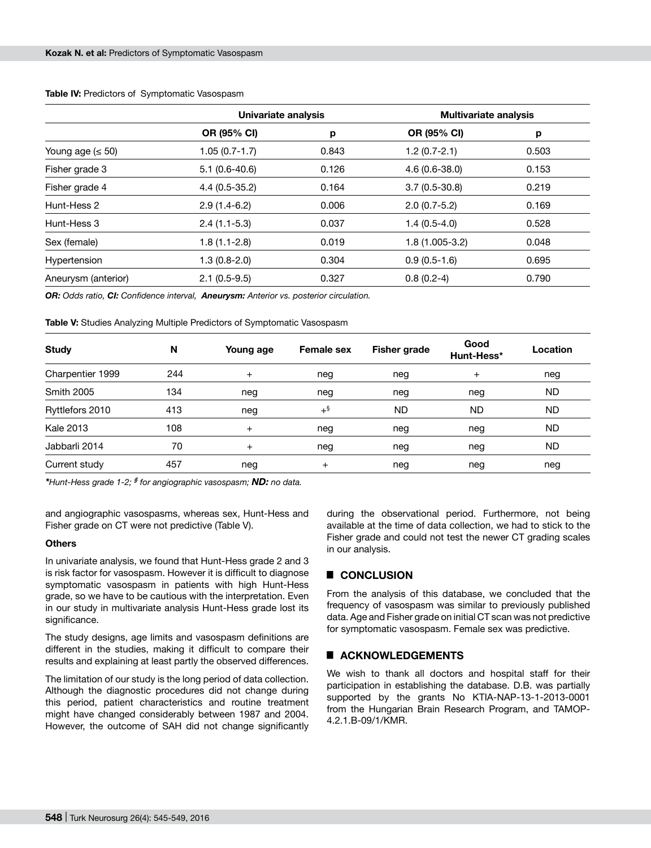|                        | Univariate analysis |       | <b>Multivariate analysis</b> |       |  |
|------------------------|---------------------|-------|------------------------------|-------|--|
|                        | <b>OR (95% CI)</b>  | р     | OR (95% CI)                  | p     |  |
| Young age $( \leq 50)$ | $1.05(0.7-1.7)$     | 0.843 | $1.2(0.7-2.1)$               | 0.503 |  |
| Fisher grade 3         | $5.1(0.6-40.6)$     | 0.126 | $4.6(0.6-38.0)$              | 0.153 |  |
| Fisher grade 4         | $4.4(0.5-35.2)$     | 0.164 | $3.7(0.5-30.8)$              | 0.219 |  |
| Hunt-Hess 2            | $2.9(1.4-6.2)$      | 0.006 | $2.0(0.7-5.2)$               | 0.169 |  |
| Hunt-Hess 3            | $2.4(1.1-5.3)$      | 0.037 | $1.4(0.5-4.0)$               | 0.528 |  |
| Sex (female)           | $1.8(1.1-2.8)$      | 0.019 | $1.8(1.005-3.2)$             | 0.048 |  |
| Hypertension           | $1.3(0.8-2.0)$      | 0.304 | $0.9(0.5-1.6)$               | 0.695 |  |
| Aneurysm (anterior)    | $2.1(0.5-9.5)$      | 0.327 | $0.8(0.2-4)$                 | 0.790 |  |

**Table IV:** Predictors of Symptomatic Vasospasm

*OR: Odds ratio, CI: Confidence interval, Aneurysm: Anterior vs. posterior circulation.*

**Table V:** Studies Analyzing Multiple Predictors of Symptomatic Vasospasm

| <b>Study</b>      | N   | Young age | <b>Female sex</b> | <b>Fisher grade</b> | Good<br>Hunt-Hess* | Location  |
|-------------------|-----|-----------|-------------------|---------------------|--------------------|-----------|
| Charpentier 1999  | 244 | $^{+}$    | neg               | neg                 | $\overline{+}$     | neg       |
| <b>Smith 2005</b> | 134 | neg       | neg               | neg                 | neg                | <b>ND</b> |
| Ryttlefors 2010   | 413 | neg       | $+$ §             | <b>ND</b>           | <b>ND</b>          | <b>ND</b> |
| <b>Kale 2013</b>  | 108 | $+$       | neg               | neg                 | neg                | <b>ND</b> |
| Jabbarli 2014     | 70  | $^{+}$    | neg               | neg                 | neg                | <b>ND</b> |
| Current study     | 457 | neg       | $^{+}$            | neg                 | neg                | neg       |

*\*Hunt-Hess grade 1-2; § for angiographic vasospasm; ND: no data.*

and angiographic vasospasms, whereas sex, Hunt-Hess and Fisher grade on CT were not predictive (Table V).

#### **Others**

In univariate analysis, we found that Hunt-Hess grade 2 and 3 is risk factor for vasospasm. However it is difficult to diagnose symptomatic vasospasm in patients with high Hunt-Hess grade, so we have to be cautious with the interpretation. Even in our study in multivariate analysis Hunt-Hess grade lost its significance.

The study designs, age limits and vasospasm definitions are different in the studies, making it difficult to compare their results and explaining at least partly the observed differences.

The limitation of our study is the long period of data collection. Although the diagnostic procedures did not change during this period, patient characteristics and routine treatment might have changed considerably between 1987 and 2004. However, the outcome of SAH did not change significantly

during the observational period. Furthermore, not being available at the time of data collection, we had to stick to the Fisher grade and could not test the newer CT grading scales in our analysis.

## █ **Conclusion**

From the analysis of this database, we concluded that the frequency of vasospasm was similar to previously published data. Age and Fisher grade on initial CT scan was not predictive for symptomatic vasospasm. Female sex was predictive.

## **EXACKNOWLEDGEMENTS**

We wish to thank all doctors and hospital staff for their participation in establishing the database. D.B. was partially supported by the grants No KTIA-NAP-13-1-2013-0001 from the Hungarian Brain Research Program, and TAMOP-4.2.1.B-09/1/KMR.